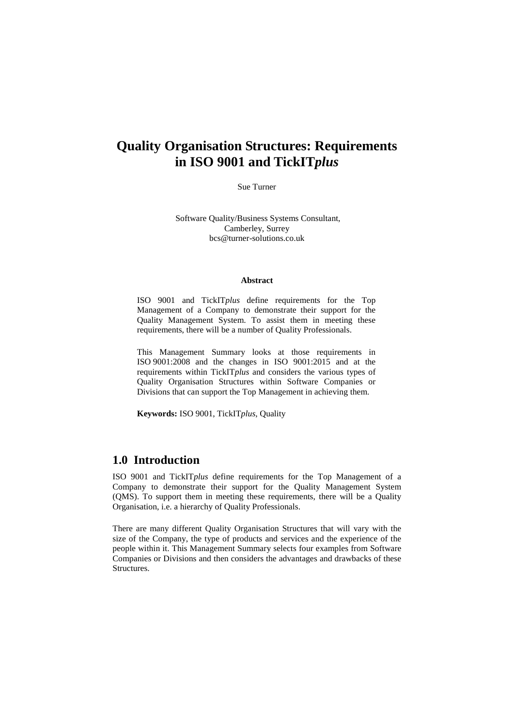# **Quality Organisation Structures: Requirements in ISO 9001 and TickIT***plus*

Sue Turner

Software Quality/Business Systems Consultant, Camberley, Surrey bcs@turner-solutions.co.uk

#### **Abstract**

ISO 9001 and TickIT*plus* define requirements for the Top Management of a Company to demonstrate their support for the Quality Management System. To assist them in meeting these requirements, there will be a number of Quality Professionals.

This Management Summary looks at those requirements in ISO 9001:2008 and the changes in ISO 9001:2015 and at the requirements within TickIT*plus* and considers the various types of Quality Organisation Structures within Software Companies or Divisions that can support the Top Management in achieving them.

**Keywords:** ISO 9001, TickIT*plus*, Quality

### **1.0 Introduction**

ISO 9001 and TickIT*plus* define requirements for the Top Management of a Company to demonstrate their support for the Quality Management System (QMS). To support them in meeting these requirements, there will be a Quality Organisation, i.e. a hierarchy of Quality Professionals.

There are many different Quality Organisation Structures that will vary with the size of the Company, the type of products and services and the experience of the people within it. This Management Summary selects four examples from Software Companies or Divisions and then considers the advantages and drawbacks of these Structures.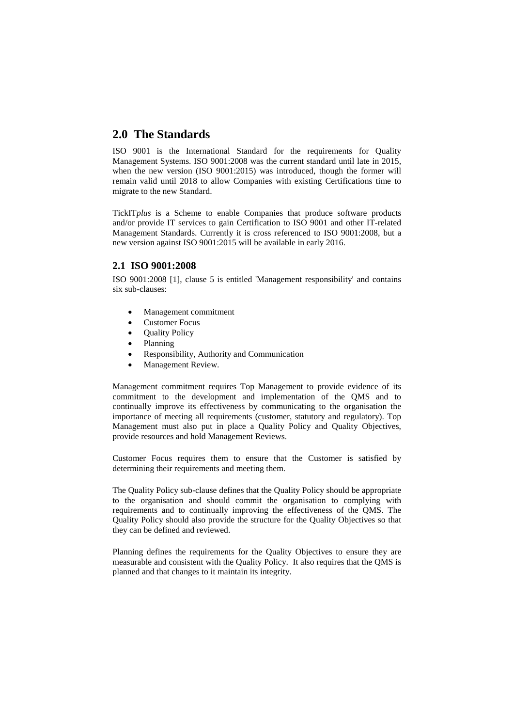### **2.0 The Standards**

ISO 9001 is the International Standard for the requirements for Quality Management Systems. ISO 9001:2008 was the current standard until late in 2015, when the new version (ISO 9001:2015) was introduced, though the former will remain valid until 2018 to allow Companies with existing Certifications time to migrate to the new Standard.

TickIT*plus* is a Scheme to enable Companies that produce software products and/or provide IT services to gain Certification to ISO 9001 and other IT-related Management Standards. Currently it is cross referenced to ISO 9001:2008, but a new version against ISO 9001:2015 will be available in early 2016.

#### **2.1 ISO 9001:2008**

ISO 9001:2008 [1], clause 5 is entitled 'Management responsibility' and contains six sub-clauses:

- Management commitment
- Customer Focus
- Quality Policy
- Planning
- Responsibility, Authority and Communication
- Management Review.

Management commitment requires Top Management to provide evidence of its commitment to the development and implementation of the QMS and to continually improve its effectiveness by communicating to the organisation the importance of meeting all requirements (customer, statutory and regulatory). Top Management must also put in place a Quality Policy and Quality Objectives, provide resources and hold Management Reviews.

Customer Focus requires them to ensure that the Customer is satisfied by determining their requirements and meeting them.

The Quality Policy sub-clause defines that the Quality Policy should be appropriate to the organisation and should commit the organisation to complying with requirements and to continually improving the effectiveness of the QMS. The Quality Policy should also provide the structure for the Quality Objectives so that they can be defined and reviewed.

Planning defines the requirements for the Quality Objectives to ensure they are measurable and consistent with the Quality Policy. It also requires that the QMS is planned and that changes to it maintain its integrity.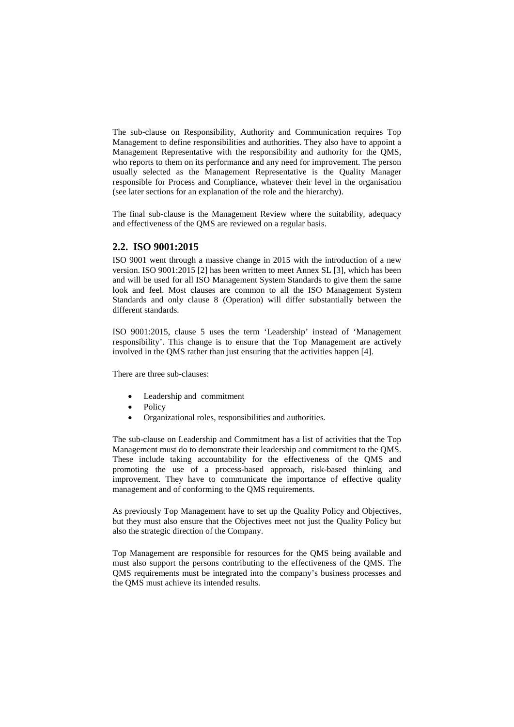The sub-clause on Responsibility, Authority and Communication requires Top Management to define responsibilities and authorities. They also have to appoint a Management Representative with the responsibility and authority for the QMS, who reports to them on its performance and any need for improvement. The person usually selected as the Management Representative is the Quality Manager responsible for Process and Compliance, whatever their level in the organisation (see later sections for an explanation of the role and the hierarchy).

The final sub-clause is the Management Review where the suitability, adequacy and effectiveness of the QMS are reviewed on a regular basis.

#### **2.2. ISO 9001:2015**

ISO 9001 went through a massive change in 2015 with the introduction of a new version. ISO 9001:2015 [2] has been written to meet Annex SL [3], which has been and will be used for all ISO Management System Standards to give them the same look and feel. Most clauses are common to all the ISO Management System Standards and only clause 8 (Operation) will differ substantially between the different standards.

ISO 9001:2015, clause 5 uses the term 'Leadership' instead of 'Management responsibility'. This change is to ensure that the Top Management are actively involved in the QMS rather than just ensuring that the activities happen [4].

There are three sub-clauses:

- Leadership and commitment
- **Policy**
- Organizational roles, responsibilities and authorities.

The sub-clause on Leadership and Commitment has a list of activities that the Top Management must do to demonstrate their leadership and commitment to the QMS. These include taking accountability for the effectiveness of the QMS and promoting the use of a process-based approach, risk-based thinking and improvement. They have to communicate the importance of effective quality management and of conforming to the QMS requirements.

As previously Top Management have to set up the Quality Policy and Objectives, but they must also ensure that the Objectives meet not just the Quality Policy but also the strategic direction of the Company.

Top Management are responsible for resources for the QMS being available and must also support the persons contributing to the effectiveness of the QMS. The QMS requirements must be integrated into the company's business processes and the QMS must achieve its intended results.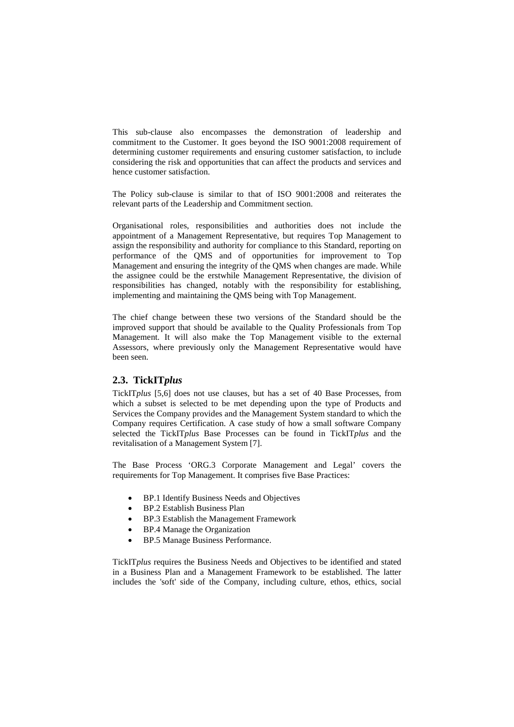This sub-clause also encompasses the demonstration of leadership and commitment to the Customer. It goes beyond the ISO 9001:2008 requirement of determining customer requirements and ensuring customer satisfaction, to include considering the risk and opportunities that can affect the products and services and hence customer satisfaction.

The Policy sub-clause is similar to that of ISO 9001:2008 and reiterates the relevant parts of the Leadership and Commitment section.

Organisational roles, responsibilities and authorities does not include the appointment of a Management Representative, but requires Top Management to assign the responsibility and authority for compliance to this Standard, reporting on performance of the QMS and of opportunities for improvement to Top Management and ensuring the integrity of the QMS when changes are made. While the assignee could be the erstwhile Management Representative, the division of responsibilities has changed, notably with the responsibility for establishing, implementing and maintaining the QMS being with Top Management.

The chief change between these two versions of the Standard should be the improved support that should be available to the Quality Professionals from Top Management. It will also make the Top Management visible to the external Assessors, where previously only the Management Representative would have been seen.

#### **2.3. TickIT***plus*

TickIT*plus* [5,6] does not use clauses, but has a set of 40 Base Processes, from which a subset is selected to be met depending upon the type of Products and Services the Company provides and the Management System standard to which the Company requires Certification. A case study of how a small software Company selected the TickIT*plus* Base Processes can be found in TickIT*plus* and the revitalisation of a Management System [7].

The Base Process 'ORG.3 Corporate Management and Legal' covers the requirements for Top Management. It comprises five Base Practices:

- BP.1 Identify Business Needs and Objectives
- BP.2 Establish Business Plan
- BP.3 Establish the Management Framework
- BP.4 Manage the Organization
- BP.5 Manage Business Performance.

TickIT*plus* requires the Business Needs and Objectives to be identified and stated in a Business Plan and a Management Framework to be established. The latter includes the 'soft' side of the Company, including culture, ethos, ethics, social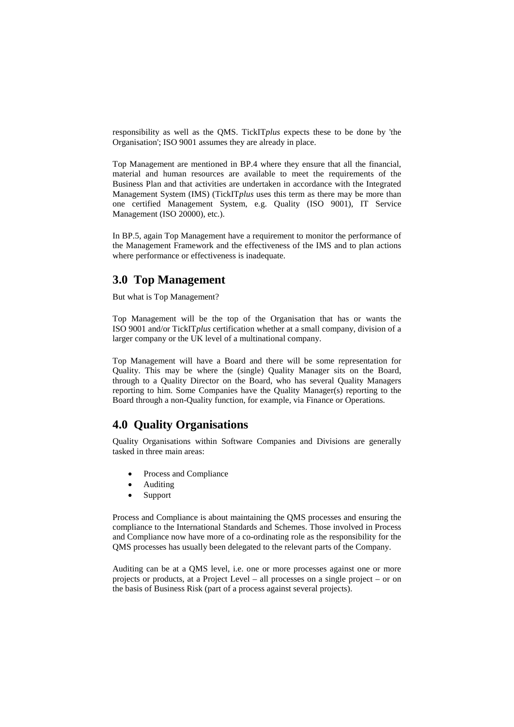responsibility as well as the QMS. TickIT*plus* expects these to be done by 'the Organisation'; ISO 9001 assumes they are already in place.

Top Management are mentioned in BP.4 where they ensure that all the financial, material and human resources are available to meet the requirements of the Business Plan and that activities are undertaken in accordance with the Integrated Management System (IMS) (TickIT*plus* uses this term as there may be more than one certified Management System, e.g. Quality (ISO 9001), IT Service Management (ISO 20000), etc.).

In BP.5, again Top Management have a requirement to monitor the performance of the Management Framework and the effectiveness of the IMS and to plan actions where performance or effectiveness is inadequate.

### **3.0 Top Management**

But what is Top Management?

Top Management will be the top of the Organisation that has or wants the ISO 9001 and/or TickIT*plus* certification whether at a small company, division of a larger company or the UK level of a multinational company.

Top Management will have a Board and there will be some representation for Quality. This may be where the (single) Quality Manager sits on the Board, through to a Quality Director on the Board, who has several Quality Managers reporting to him. Some Companies have the Quality Manager(s) reporting to the Board through a non-Quality function, for example, via Finance or Operations.

### **4.0 Quality Organisations**

Quality Organisations within Software Companies and Divisions are generally tasked in three main areas:

- Process and Compliance
- Auditing
- Support

Process and Compliance is about maintaining the QMS processes and ensuring the compliance to the International Standards and Schemes. Those involved in Process and Compliance now have more of a co-ordinating role as the responsibility for the QMS processes has usually been delegated to the relevant parts of the Company.

Auditing can be at a QMS level, i.e. one or more processes against one or more projects or products, at a Project Level – all processes on a single project – or on the basis of Business Risk (part of a process against several projects).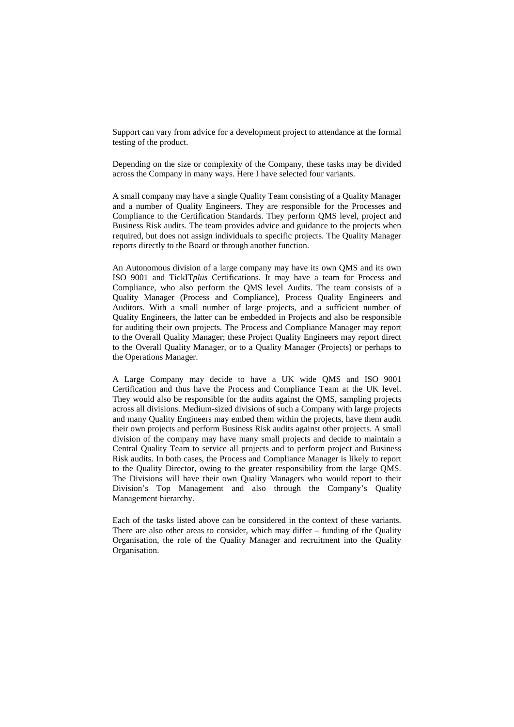Support can vary from advice for a development project to attendance at the formal testing of the product.

Depending on the size or complexity of the Company, these tasks may be divided across the Company in many ways. Here I have selected four variants.

A small company may have a single Quality Team consisting of a Quality Manager and a number of Quality Engineers. They are responsible for the Processes and Compliance to the Certification Standards. They perform QMS level, project and Business Risk audits. The team provides advice and guidance to the projects when required, but does not assign individuals to specific projects. The Quality Manager reports directly to the Board or through another function.

An Autonomous division of a large company may have its own QMS and its own ISO 9001 and TickIT*plus* Certifications. It may have a team for Process and Compliance, who also perform the QMS level Audits. The team consists of a Quality Manager (Process and Compliance), Process Quality Engineers and Auditors. With a small number of large projects, and a sufficient number of Quality Engineers, the latter can be embedded in Projects and also be responsible for auditing their own projects. The Process and Compliance Manager may report to the Overall Quality Manager; these Project Quality Engineers may report direct to the Overall Quality Manager, or to a Quality Manager (Projects) or perhaps to the Operations Manager.

A Large Company may decide to have a UK wide QMS and ISO 9001 Certification and thus have the Process and Compliance Team at the UK level. They would also be responsible for the audits against the QMS, sampling projects across all divisions. Medium-sized divisions of such a Company with large projects and many Quality Engineers may embed them within the projects, have them audit their own projects and perform Business Risk audits against other projects. A small division of the company may have many small projects and decide to maintain a Central Quality Team to service all projects and to perform project and Business Risk audits. In both cases, the Process and Compliance Manager is likely to report to the Quality Director, owing to the greater responsibility from the large QMS. The Divisions will have their own Quality Managers who would report to their Division's Top Management and also through the Company's Quality Management hierarchy.

Each of the tasks listed above can be considered in the context of these variants. There are also other areas to consider, which may differ – funding of the Quality Organisation, the role of the Quality Manager and recruitment into the Quality Organisation.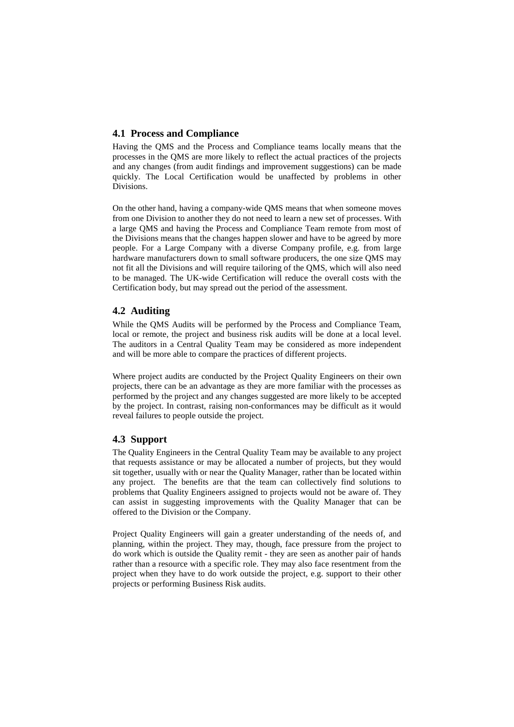#### **4.1 Process and Compliance**

Having the QMS and the Process and Compliance teams locally means that the processes in the QMS are more likely to reflect the actual practices of the projects and any changes (from audit findings and improvement suggestions) can be made quickly. The Local Certification would be unaffected by problems in other Divisions.

On the other hand, having a company-wide QMS means that when someone moves from one Division to another they do not need to learn a new set of processes. With a large QMS and having the Process and Compliance Team remote from most of the Divisions means that the changes happen slower and have to be agreed by more people. For a Large Company with a diverse Company profile, e.g. from large hardware manufacturers down to small software producers, the one size QMS may not fit all the Divisions and will require tailoring of the QMS, which will also need to be managed. The UK-wide Certification will reduce the overall costs with the Certification body, but may spread out the period of the assessment.

#### **4.2 Auditing**

While the QMS Audits will be performed by the Process and Compliance Team, local or remote, the project and business risk audits will be done at a local level. The auditors in a Central Quality Team may be considered as more independent and will be more able to compare the practices of different projects.

Where project audits are conducted by the Project Quality Engineers on their own projects, there can be an advantage as they are more familiar with the processes as performed by the project and any changes suggested are more likely to be accepted by the project. In contrast, raising non-conformances may be difficult as it would reveal failures to people outside the project.

### **4.3 Support**

The Quality Engineers in the Central Quality Team may be available to any project that requests assistance or may be allocated a number of projects, but they would sit together, usually with or near the Quality Manager, rather than be located within any project. The benefits are that the team can collectively find solutions to problems that Quality Engineers assigned to projects would not be aware of. They can assist in suggesting improvements with the Quality Manager that can be offered to the Division or the Company.

Project Quality Engineers will gain a greater understanding of the needs of, and planning, within the project. They may, though, face pressure from the project to do work which is outside the Quality remit - they are seen as another pair of hands rather than a resource with a specific role. They may also face resentment from the project when they have to do work outside the project, e.g. support to their other projects or performing Business Risk audits.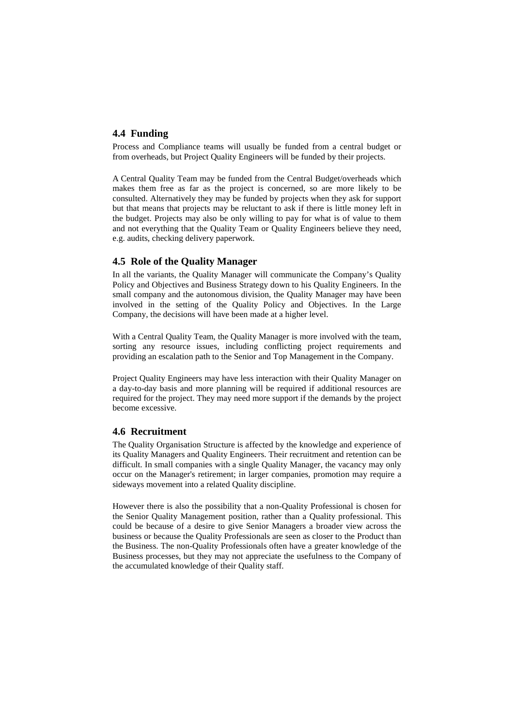#### **4.4 Funding**

Process and Compliance teams will usually be funded from a central budget or from overheads, but Project Quality Engineers will be funded by their projects.

A Central Quality Team may be funded from the Central Budget/overheads which makes them free as far as the project is concerned, so are more likely to be consulted. Alternatively they may be funded by projects when they ask for support but that means that projects may be reluctant to ask if there is little money left in the budget. Projects may also be only willing to pay for what is of value to them and not everything that the Quality Team or Quality Engineers believe they need, e.g. audits, checking delivery paperwork.

#### **4.5 Role of the Quality Manager**

In all the variants, the Quality Manager will communicate the Company's Quality Policy and Objectives and Business Strategy down to his Quality Engineers. In the small company and the autonomous division, the Quality Manager may have been involved in the setting of the Quality Policy and Objectives. In the Large Company, the decisions will have been made at a higher level.

With a Central Quality Team, the Quality Manager is more involved with the team, sorting any resource issues, including conflicting project requirements and providing an escalation path to the Senior and Top Management in the Company.

Project Quality Engineers may have less interaction with their Quality Manager on a day-to-day basis and more planning will be required if additional resources are required for the project. They may need more support if the demands by the project become excessive.

#### **4.6 Recruitment**

The Quality Organisation Structure is affected by the knowledge and experience of its Quality Managers and Quality Engineers. Their recruitment and retention can be difficult. In small companies with a single Quality Manager, the vacancy may only occur on the Manager's retirement; in larger companies, promotion may require a sideways movement into a related Quality discipline.

However there is also the possibility that a non-Quality Professional is chosen for the Senior Quality Management position, rather than a Quality professional. This could be because of a desire to give Senior Managers a broader view across the business or because the Quality Professionals are seen as closer to the Product than the Business. The non-Quality Professionals often have a greater knowledge of the Business processes, but they may not appreciate the usefulness to the Company of the accumulated knowledge of their Quality staff.